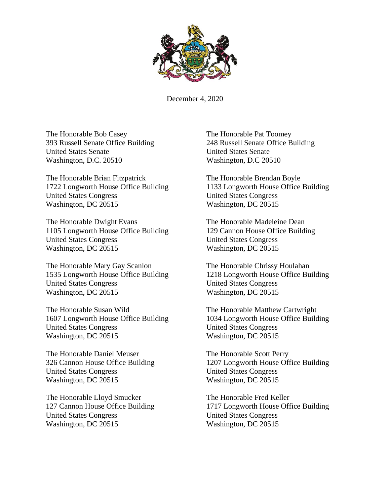

December 4, 2020

The Honorable Bob Casey The Honorable Pat Toomey 393 Russell Senate Office Building 248 Russell Senate Office Building United States Senate United States Senate Washington, D.C. 20510 Washington, D.C 20510

The Honorable Brian Fitzpatrick The Honorable Brendan Boyle 1722 Longworth House Office Building 1133 Longworth House Office Building United States Congress United States Congress Washington, DC 20515 Washington, DC 20515

The Honorable Dwight Evans The Honorable Madeleine Dean 1105 Longworth House Office Building 129 Cannon House Office Building United States Congress United States Congress Washington, DC 20515 Washington, DC 20515

The Honorable Mary Gay Scanlon The Honorable Chrissy Houlahan United States Congress United States Congress Washington, DC 20515 Washington, DC 20515

The Honorable Susan Wild The Honorable Matthew Cartwright United States Congress United States Congress Washington, DC 20515 Washington, DC 20515

The Honorable Daniel Meuser The Honorable Scott Perry United States Congress United States Congress Washington, DC 20515 Washington, DC 20515

The Honorable Lloyd Smucker The Honorable Fred Keller United States Congress United States Congress Washington, DC 20515 Washington, DC 20515

1535 Longworth House Office Building 1218 Longworth House Office Building

1607 Longworth House Office Building 1034 Longworth House Office Building

326 Cannon House Office Building 1207 Longworth House Office Building

127 Cannon House Office Building 1717 Longworth House Office Building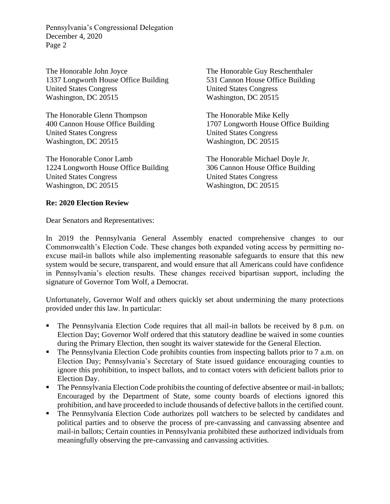The Honorable John Joyce The Honorable Guy Reschenthaler 1337 Longworth House Office Building 531 Cannon House Office Building United States Congress United States Congress Washington, DC 20515 Washington, DC 20515

The Honorable Glenn Thompson The Honorable Mike Kelly United States Congress United States Congress Washington, DC 20515 Washington, DC 20515

The Honorable Conor Lamb The Honorable Michael Doyle Jr. 1224 Longworth House Office Building 306 Cannon House Office Building United States Congress United States Congress Washington, DC 20515 Washington, DC 20515

400 Cannon House Office Building 1707 Longworth House Office Building

## **Re: 2020 Election Review**

Dear Senators and Representatives:

In 2019 the Pennsylvania General Assembly enacted comprehensive changes to our Commonwealth's Election Code. These changes both expanded voting access by permitting noexcuse mail-in ballots while also implementing reasonable safeguards to ensure that this new system would be secure, transparent, and would ensure that all Americans could have confidence in Pennsylvania's election results. These changes received bipartisan support, including the signature of Governor Tom Wolf, a Democrat.

Unfortunately, Governor Wolf and others quickly set about undermining the many protections provided under this law. In particular:

- The Pennsylvania Election Code requires that all mail-in ballots be received by 8 p.m. on Election Day; Governor Wolf ordered that this statutory deadline be waived in some counties during the Primary Election, then sought its waiver statewide for the General Election.
- The Pennsylvania Election Code prohibits counties from inspecting ballots prior to 7 a.m. on Election Day; Pennsylvania's Secretary of State issued guidance encouraging counties to ignore this prohibition, to inspect ballots, and to contact voters with deficient ballots prior to Election Day.
- The Pennsylvania Election Code prohibits the counting of defective absentee or mail-in ballots; Encouraged by the Department of State, some county boards of elections ignored this prohibition, and have proceeded to include thousands of defective ballots in the certified count.
- The Pennsylvania Election Code authorizes poll watchers to be selected by candidates and political parties and to observe the process of pre-canvassing and canvassing absentee and mail-in ballots; Certain counties in Pennsylvania prohibited these authorized individuals from meaningfully observing the pre-canvassing and canvassing activities.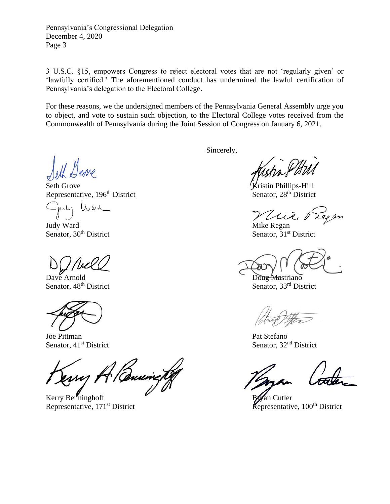3 U.S.C. §15, empowers Congress to reject electoral votes that are not 'regularly given' or 'lawfully certified.' The aforementioned conduct has undermined the lawful certification of Pennsylvania's delegation to the Electoral College.

For these reasons, we the undersigned members of the Pennsylvania General Assembly urge you to object, and vote to sustain such objection, to the Electoral College votes received from the Commonwealth of Pennsylvania during the Joint Session of Congress on January 6, 2021.

Seth Grove **Kristin Phillips-Hill** Representative, 196<sup>th</sup> District Senator, 28<sup>th</sup> District

uly Ward

Judy Ward Mike Regan

Dave Arnold Doug Mastriano

Joe Pittman Pat Stefano

wy A Buning

Kerry Benninghoff **Bryan Cutler**<br>Representative, 171<sup>st</sup> District Representative, 100<sup>th</sup> District Representative, 171<sup>st</sup> District

Sincerely,

Viito 8

Senator, 30<sup>th</sup> District Senator, 31<sup>st</sup> District

Senator,  $48<sup>th</sup>$  District Senator,  $33<sup>rd</sup>$  District

Senator,  $41<sup>st</sup>$  District Senator,  $32<sup>nd</sup>$  District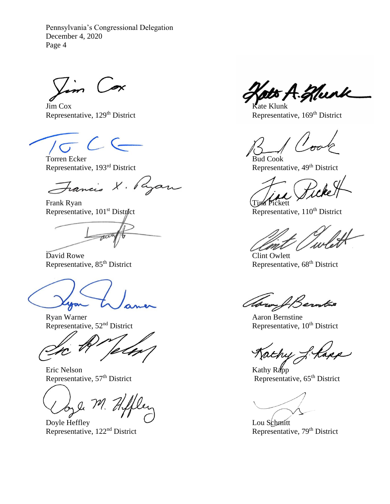Vim Cox

Jim Cox Kate Klunk

 $C$ 

Torren Ecker<br>Representative, 193<sup>rd</sup> District<br>Representative, 49<sup>th</sup> District<br>Representative, 49<sup>th</sup> District Representative, 193<sup>rd</sup> District

Francis X. Ryan

Frank Ryan<br>Representative, 101<sup>st</sup> District<br>Representative, 110<sup>th</sup> District Representative, 101<sup>st</sup> District

David Rowe<br>
Representative, 85<sup>th</sup> District<br>
Representative, 85<sup>th</sup> District<br>
Representative, 85<sup>th</sup> District

Ryan Warner Aaron Bernstine<br>Representative,  $52<sup>nd</sup>$  District Representative, 1

 $\overline{\phantom{a}}$ 

Eric Nelson<br>
Representative, 57<sup>th</sup> District<br>
Representative, 57<sup>th</sup> District<br>
Representative, 57<sup>th</sup> District

onle M. Hifflen

Representative,  $122<sup>nd</sup>$  District

A. Hurk

Representative, 129<sup>th</sup> District Representative, 169<sup>th</sup> District

Representative, 68<sup>th</sup> District

Avery & Berntas

Representative, 10<sup>th</sup> District

Kathy L. Kapp

Representative, 57th District Representative, 65th District

Doyle Heffley<br>
Representative, 122<sup>nd</sup> District<br>
Representative, 79<sup>th</sup> District<br>
Representative, 79<sup>th</sup> District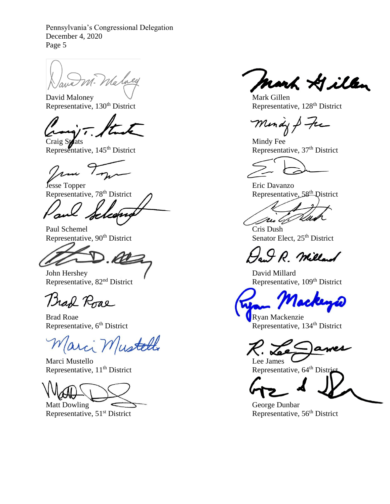M. Malney

David Maloney V<br>Representative, 130<sup>th</sup> District Representative, 130<sup>th</sup> District Representative

Craig Stats Mindy Fee Representative, 145<sup>th</sup> District Representative, 37<sup>th</sup> District

 $1.11$ 

Jesse Topper Eric Davanzo Representative,  $78^{\text{th}}$  District  $\bigcap$ 

cheerig

Paul Schemel Cris Dush Representative, 90<sup>th</sup> District Senator Elect, 25<sup>th</sup> District

ar

John Hershey David Millard<br>Representative,  $82<sup>nd</sup>$  District Representative Representative

Brad Roae

Brad Roae Representative, 6<sup>th</sup> District Representative, 1

arci Mustell

Marci Mustello<br>
Representative, 11<sup>th</sup> District<br>
Representative, 64<sup>th</sup> District<br>
Representative, 64<sup>th</sup> Distri Representative,  $11<sup>th</sup>$  District

Representative,  $51<sup>st</sup>$  District

mark Hillen

Representative, 128<sup>th</sup> District

Mindy & fre

Mul,

I.R. Millard

Representative, 109<sup>th</sup> District

lacken

Representative, 134<sup>th</sup> District

Matt Dowling  $\overline{\phantom{K}}$  George Dunbar<br>Representative,  $51^{\text{st}}$  District Representative,  $56^{\text{th}}$  District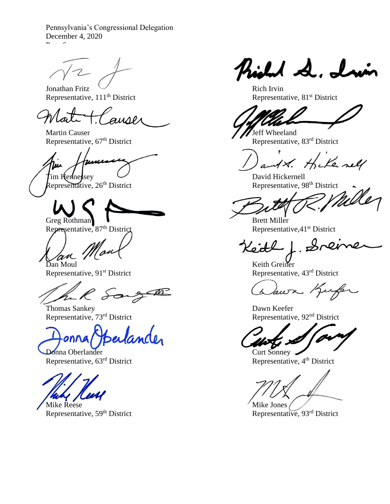Pennsylvania's Congressional Delegation December 4, 2020  $P = \frac{1}{2}$ 

Representative, 111<sup>th</sup> District

auser

Martin Causer<br>
Representative,  $67^{\text{th}}$  District<br>
Representative,  $83^{\text{rd}}$  District<br>
Representative,  $83^{\text{rd}}$  District Representative, 67<sup>th</sup> District

 $R$ epresentative, 26<sup>th</sup> District

Representative, 87<sup>th</sup> District

R Song

Representative, 73<sup>rd</sup> District

Berlander

Donna Oberlander<br>
Representative, 63<sup>rd</sup> District<br>
Representative, 4<sup>th</sup> District<br>
Representative, 4<sup>th</sup> District Representative,  $63<sup>rd</sup>$  District

Mike Reese<br>
Representative,  $59<sup>th</sup>$  District<br>
Representative,  $93<sup>rd</sup>$  District<br>
Representative,  $93<sup>rd</sup>$  District Representative, 59<sup>th</sup> District

what de. In

Jonathan Fritz<br>
Representative, 111<sup>th</sup> District<br>
Representative, 81<sup>st</sup> District<br>
Representative, 81<sup>st</sup> District

 $\mathbf{r}$ 1x. Hike nell

tim Hennessey<br>Representative, 26<sup>th</sup> District and Theorem and Theorem Representative, 98<sup>th</sup> District

Greg Rothman **Brett Miller**<br>Representative, 87<sup>th</sup> District Representative, 41<sup>st</sup> District

 $s$ 

Dan Moul Keith Greiner Representative, 91<sup>st</sup> District Representative, 43<sup>rd</sup> District

awn Kufer

Thomas Sankey<br>
Representative, 73<sup>rd</sup> District<br>
Representative, 92<sup>nd</sup> District<br>
Representative, 92<sup>nd</sup> District